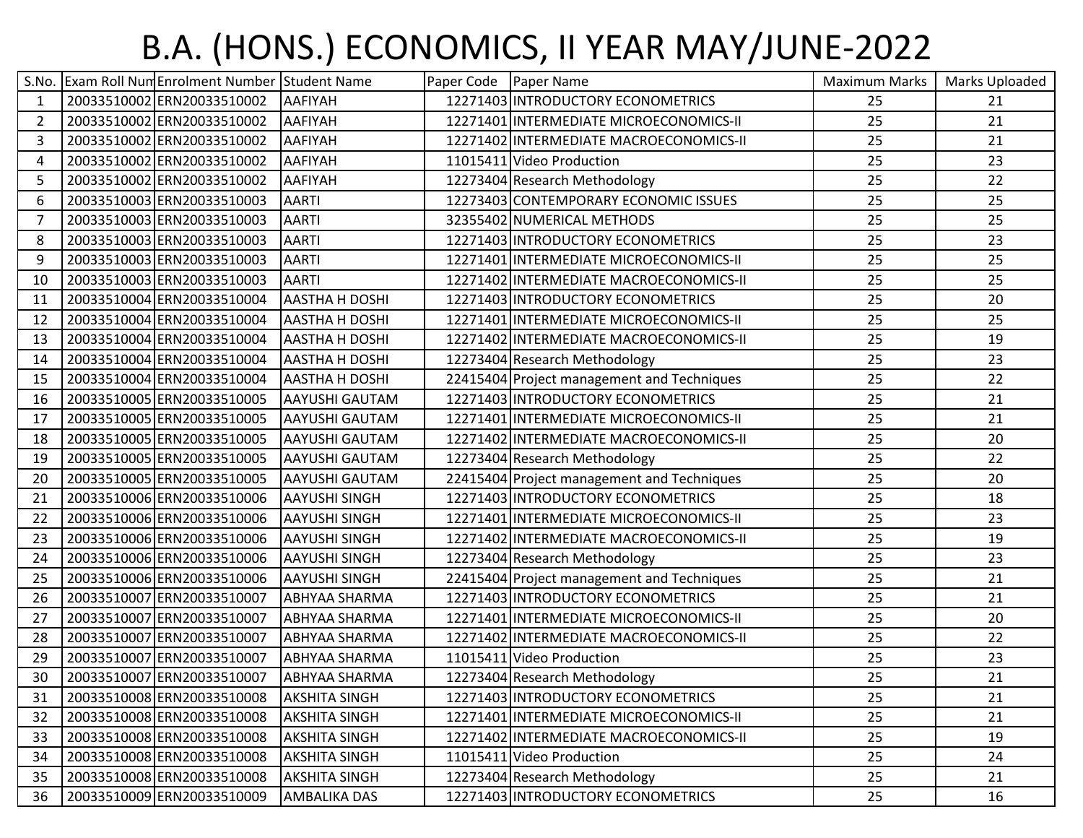## B.A. (HONS.) ECONOMICS, II YEAR MAY/JUNE-2022

| S.No.          | <b>Exam Roll Num Enrolment Number Student Name</b> |                       | Paper Code   Paper Name |                                            | Maximum Marks | Marks Uploaded |
|----------------|----------------------------------------------------|-----------------------|-------------------------|--------------------------------------------|---------------|----------------|
| 1              | 20033510002 ERN20033510002                         | <b>AAFIYAH</b>        |                         | 12271403 INTRODUCTORY ECONOMETRICS         | 25            | 21             |
| $\overline{2}$ | 20033510002 ERN20033510002                         | <b>AAFIYAH</b>        |                         | 12271401 INTERMEDIATE MICROECONOMICS-II    | 25            | 21             |
| 3              | 20033510002 ERN20033510002                         | AAFIYAH               |                         | 12271402 INTERMEDIATE MACROECONOMICS-II    | 25            | 21             |
| 4              | 20033510002 ERN20033510002                         | <b>AAFIYAH</b>        |                         | 11015411 Video Production                  | 25            | 23             |
| 5              | 20033510002 ERN20033510002                         | <b>AAFIYAH</b>        |                         | 12273404 Research Methodology              | 25            | 22             |
| 6              | 20033510003 ERN20033510003                         | <b>AARTI</b>          |                         | 12273403 CONTEMPORARY ECONOMIC ISSUES      | 25            | 25             |
| 7              | 20033510003 ERN20033510003                         | <b>AARTI</b>          |                         | 32355402 NUMERICAL METHODS                 | 25            | 25             |
| 8              | 20033510003 ERN20033510003                         | <b>AARTI</b>          |                         | 12271403 INTRODUCTORY ECONOMETRICS         | 25            | 23             |
| 9              | 20033510003 ERN20033510003                         | <b>AARTI</b>          |                         | 12271401 INTERMEDIATE MICROECONOMICS-II    | 25            | 25             |
| 10             | 20033510003 ERN20033510003                         | <b>AARTI</b>          |                         | 12271402 INTERMEDIATE MACROECONOMICS-II    | 25            | 25             |
| 11             | 20033510004 ERN20033510004                         | <b>AASTHA H DOSHI</b> |                         | 12271403 INTRODUCTORY ECONOMETRICS         | 25            | 20             |
| 12             | 20033510004 ERN20033510004                         | <b>AASTHA H DOSHI</b> |                         | 12271401 INTERMEDIATE MICROECONOMICS-II    | 25            | 25             |
| 13             | 20033510004 ERN20033510004                         | <b>AASTHA H DOSHI</b> |                         | 12271402 INTERMEDIATE MACROECONOMICS-II    | 25            | 19             |
| 14             | 20033510004 ERN20033510004                         | <b>AASTHA H DOSHI</b> |                         | 12273404 Research Methodology              | 25            | 23             |
| 15             | 20033510004 ERN20033510004                         | <b>AASTHA H DOSHI</b> |                         | 22415404 Project management and Techniques | 25            | 22             |
| 16             | 20033510005 ERN20033510005                         | <b>AAYUSHI GAUTAM</b> |                         | 12271403 INTRODUCTORY ECONOMETRICS         | 25            | 21             |
| 17             | 20033510005 ERN20033510005                         | <b>AAYUSHI GAUTAM</b> |                         | 12271401 INTERMEDIATE MICROECONOMICS-II    | 25            | 21             |
| 18             | 20033510005 ERN20033510005                         | <b>AAYUSHI GAUTAM</b> |                         | 12271402 INTERMEDIATE MACROECONOMICS-II    | 25            | 20             |
| 19             | 20033510005 ERN20033510005                         | <b>AAYUSHI GAUTAM</b> |                         | 12273404 Research Methodology              | 25            | 22             |
| 20             | 20033510005 ERN20033510005                         | <b>AAYUSHI GAUTAM</b> |                         | 22415404 Project management and Techniques | 25            | 20             |
| 21             | 20033510006 ERN20033510006                         | <b>AAYUSHI SINGH</b>  |                         | 12271403 INTRODUCTORY ECONOMETRICS         | 25            | 18             |
| 22             | 20033510006 ERN20033510006                         | <b>AAYUSHI SINGH</b>  |                         | 12271401 INTERMEDIATE MICROECONOMICS-II    | 25            | 23             |
| 23             | 20033510006 ERN20033510006                         | <b>AAYUSHI SINGH</b>  |                         | 12271402 INTERMEDIATE MACROECONOMICS-II    | 25            | 19             |
| 24             | 20033510006 ERN20033510006                         | <b>AAYUSHI SINGH</b>  |                         | 12273404 Research Methodology              | 25            | 23             |
| 25             | 20033510006 ERN20033510006                         | <b>AAYUSHI SINGH</b>  |                         | 22415404 Project management and Techniques | 25            | 21             |
| 26             | 20033510007 ERN20033510007                         | <b>ABHYAA SHARMA</b>  |                         | 12271403 INTRODUCTORY ECONOMETRICS         | 25            | 21             |
| 27             | 20033510007 ERN20033510007                         | <b>ABHYAA SHARMA</b>  |                         | 12271401 INTERMEDIATE MICROECONOMICS-II    | 25            | 20             |
| 28             | 20033510007 ERN20033510007                         | <b>ABHYAA SHARMA</b>  |                         | 12271402 INTERMEDIATE MACROECONOMICS-II    | 25            | 22             |
| 29             | 20033510007 ERN20033510007                         | <b>ABHYAA SHARMA</b>  |                         | 11015411 Video Production                  | 25            | 23             |
| 30             | 20033510007 ERN20033510007                         | <b>JABHYAA SHARMA</b> |                         | 12273404 Research Methodology              | 25            | 21             |
| 31             | 20033510008 ERN20033510008                         | <b>AKSHITA SINGH</b>  |                         | 12271403 INTRODUCTORY ECONOMETRICS         | 25            | 21             |
| 32             | 20033510008 ERN20033510008                         | <b>AKSHITA SINGH</b>  |                         | 12271401 INTERMEDIATE MICROECONOMICS-II    | 25            | 21             |
| 33             | 20033510008 ERN20033510008                         | <b>AKSHITA SINGH</b>  |                         | 12271402 INTERMEDIATE MACROECONOMICS-II    | 25            | 19             |
| 34             | 20033510008ERN20033510008                          | <b>AKSHITA SINGH</b>  |                         | 11015411 Video Production                  | 25            | 24             |
| 35             | 20033510008 ERN20033510008                         | <b>AKSHITA SINGH</b>  |                         | 12273404 Research Methodology              | 25            | 21             |
| 36             | 20033510009 ERN20033510009                         | <b>AMBALIKA DAS</b>   |                         | 12271403 INTRODUCTORY ECONOMETRICS         | 25            | 16             |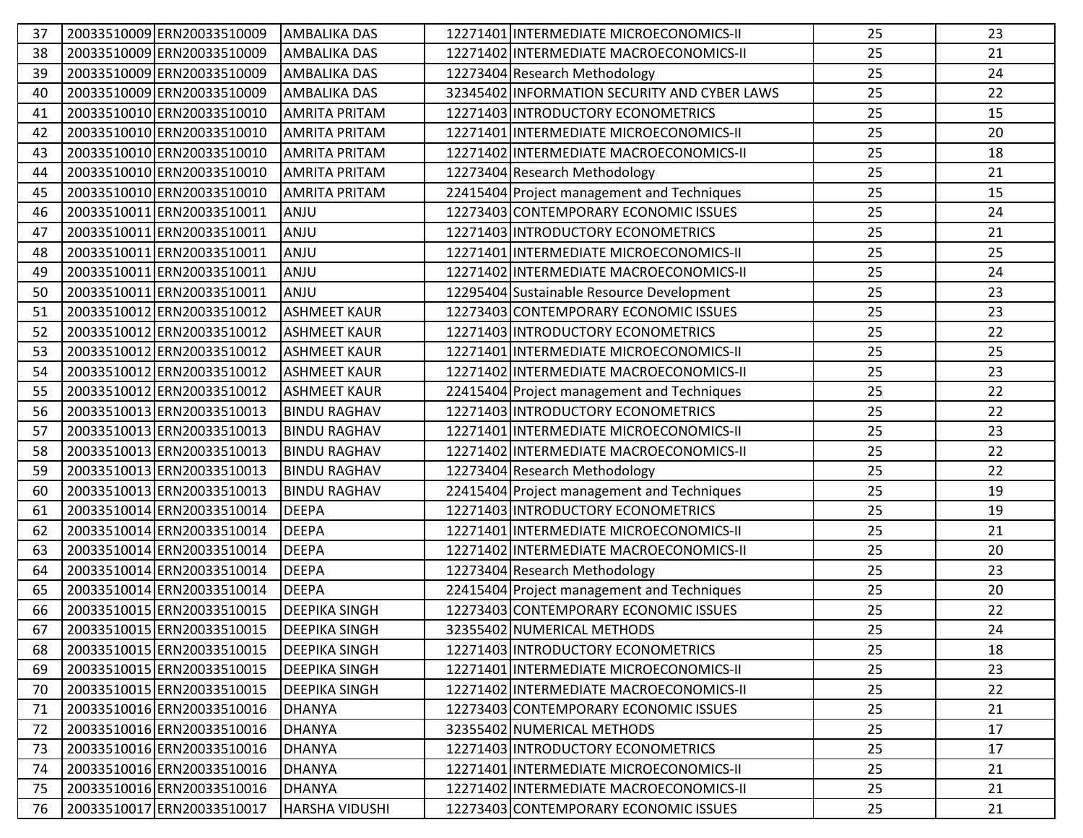| 37 | 20033510009 ERN20033510009 | <b>AMBALIKA DAS</b>  | 12271401 INTERMEDIATE MICROECONOMICS-II      | 25 | 23 |
|----|----------------------------|----------------------|----------------------------------------------|----|----|
| 38 | 20033510009 ERN20033510009 | <b>AMBALIKA DAS</b>  | 12271402 INTERMEDIATE MACROECONOMICS-II      | 25 | 21 |
| 39 | 20033510009ERN20033510009  | <b>AMBALIKA DAS</b>  | 12273404 Research Methodology                | 25 | 24 |
| 40 | 20033510009 ERN20033510009 | <b>AMBALIKA DAS</b>  | 32345402 INFORMATION SECURITY AND CYBER LAWS | 25 | 22 |
| 41 | 20033510010ERN20033510010  | <b>AMRITA PRITAM</b> | 12271403 INTRODUCTORY ECONOMETRICS           | 25 | 15 |
| 42 | 20033510010 ERN20033510010 | <b>AMRITA PRITAM</b> | 12271401 INTERMEDIATE MICROECONOMICS-II      | 25 | 20 |
| 43 | 20033510010 ERN20033510010 | <b>AMRITA PRITAM</b> | 12271402 INTERMEDIATE MACROECONOMICS-II      | 25 | 18 |
| 44 | 20033510010 ERN20033510010 | <b>AMRITA PRITAM</b> | 12273404 Research Methodology                | 25 | 21 |
| 45 | 20033510010 ERN20033510010 | <b>AMRITA PRITAM</b> | 22415404 Project management and Techniques   | 25 | 15 |
| 46 | 20033510011 ERN20033510011 | ANJU                 | 12273403 CONTEMPORARY ECONOMIC ISSUES        | 25 | 24 |
| 47 | 20033510011 ERN20033510011 | ANJU                 | 12271403 INTRODUCTORY ECONOMETRICS           | 25 | 21 |
| 48 | 20033510011 ERN20033510011 | <b>ANJU</b>          | 12271401 INTERMEDIATE MICROECONOMICS-II      | 25 | 25 |
| 49 | 20033510011 ERN20033510011 | ANJU                 | 12271402 INTERMEDIATE MACROECONOMICS-II      | 25 | 24 |
| 50 | 20033510011 ERN20033510011 | ANJU                 | 12295404 Sustainable Resource Development    | 25 | 23 |
| 51 | 20033510012 ERN20033510012 | <b>ASHMEET KAUR</b>  | 12273403 CONTEMPORARY ECONOMIC ISSUES        | 25 | 23 |
| 52 | 20033510012 ERN20033510012 | <b>ASHMEET KAUR</b>  | 12271403 INTRODUCTORY ECONOMETRICS           | 25 | 22 |
| 53 | 20033510012 ERN20033510012 | <b>ASHMEET KAUR</b>  | 12271401 INTERMEDIATE MICROECONOMICS-II      | 25 | 25 |
| 54 | 20033510012 ERN20033510012 | <b>ASHMEET KAUR</b>  | 12271402 INTERMEDIATE MACROECONOMICS-II      | 25 | 23 |
| 55 | 20033510012 ERN20033510012 | <b>ASHMEET KAUR</b>  | 22415404 Project management and Techniques   | 25 | 22 |
| 56 | 20033510013 ERN20033510013 | <b>BINDU RAGHAV</b>  | 12271403 INTRODUCTORY ECONOMETRICS           | 25 | 22 |
| 57 | 20033510013 ERN20033510013 | <b>BINDU RAGHAV</b>  | 12271401 INTERMEDIATE MICROECONOMICS-II      | 25 | 23 |
| 58 | 20033510013 ERN20033510013 | <b>BINDU RAGHAV</b>  | 12271402 INTERMEDIATE MACROECONOMICS-II      | 25 | 22 |
| 59 | 20033510013 ERN20033510013 | <b>BINDU RAGHAV</b>  | 12273404 Research Methodology                | 25 | 22 |
| 60 | 20033510013 ERN20033510013 | <b>BINDU RAGHAV</b>  | 22415404 Project management and Techniques   | 25 | 19 |
| 61 | 20033510014 ERN20033510014 | <b>DEEPA</b>         | 12271403 INTRODUCTORY ECONOMETRICS           | 25 | 19 |
| 62 | 20033510014 ERN20033510014 | <b>DEEPA</b>         | 12271401 INTERMEDIATE MICROECONOMICS-II      | 25 | 21 |
| 63 | 20033510014 ERN20033510014 | <b>DEEPA</b>         | 12271402 INTERMEDIATE MACROECONOMICS-II      | 25 | 20 |
| 64 | 20033510014 ERN20033510014 | <b>DEEPA</b>         | 12273404 Research Methodology                | 25 | 23 |
| 65 | 20033510014 ERN20033510014 | DEEPA                | 22415404 Project management and Techniques   | 25 | 20 |
| 66 | 20033510015 ERN20033510015 | <b>DEEPIKA SINGH</b> | 12273403 CONTEMPORARY ECONOMIC ISSUES        | 25 | 22 |
| 67 | 20033510015 ERN20033510015 | <b>DEEPIKA SINGH</b> | 32355402 NUMERICAL METHODS                   | 25 | 24 |
| 68 | 20033510015 ERN20033510015 | <b>DEEPIKA SINGH</b> | 12271403 INTRODUCTORY ECONOMETRICS           | 25 | 18 |
| 69 | 20033510015 ERN20033510015 | <b>DEEPIKA SINGH</b> | 12271401 INTERMEDIATE MICROECONOMICS-II      | 25 | 23 |
| 70 | 20033510015 ERN20033510015 | <b>DEEPIKA SINGH</b> | 12271402 INTERMEDIATE MACROECONOMICS-II      | 25 | 22 |
| 71 | 20033510016 ERN20033510016 | DHANYA               | 12273403 CONTEMPORARY ECONOMIC ISSUES        | 25 | 21 |
| 72 | 20033510016 ERN20033510016 | DHANYA               | 32355402 NUMERICAL METHODS                   | 25 | 17 |
| 73 | 20033510016 ERN20033510016 | DHANYA               | 12271403 INTRODUCTORY ECONOMETRICS           | 25 | 17 |
| 74 | 20033510016 ERN20033510016 | <b>DHANYA</b>        | 12271401 INTERMEDIATE MICROECONOMICS-II      | 25 | 21 |
| 75 | 20033510016 ERN20033510016 | DHANYA               | 12271402 INTERMEDIATE MACROECONOMICS-II      | 25 | 21 |
| 76 | 20033510017 ERN20033510017 | HARSHA VIDUSHI       | 12273403 CONTEMPORARY ECONOMIC ISSUES        | 25 | 21 |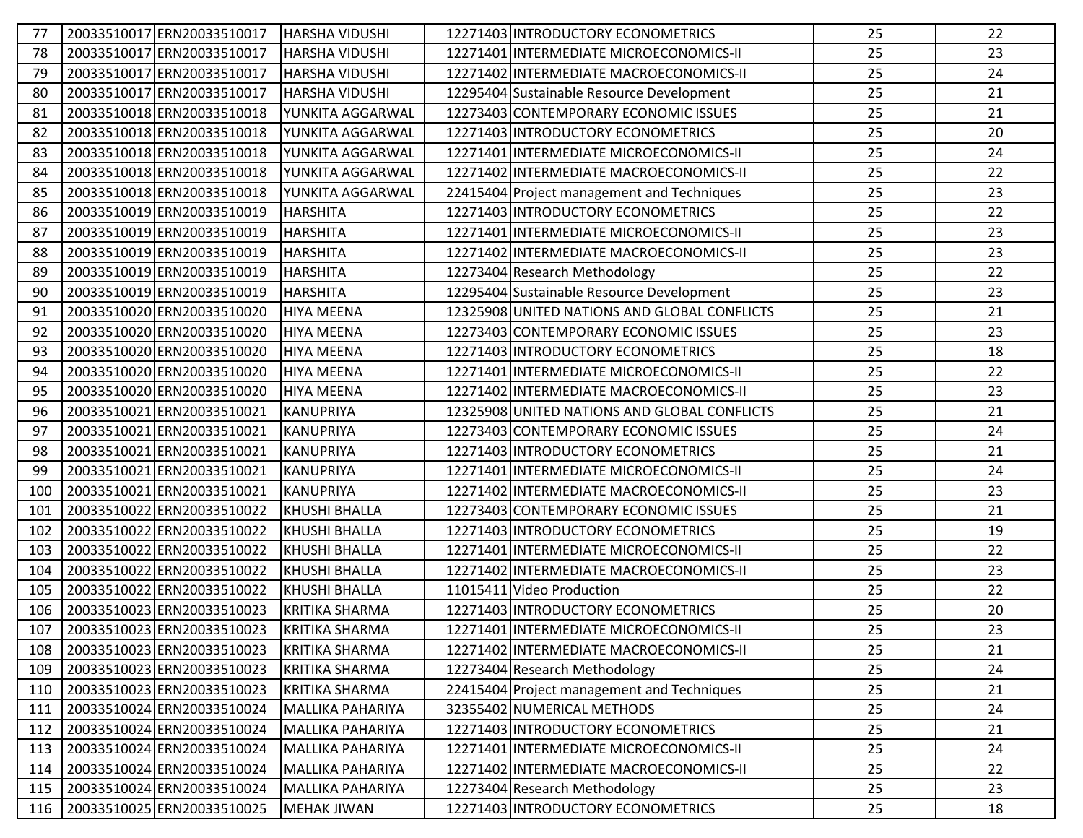| 77  | 20033510017 ERN20033510017 | <b>HARSHA VIDUSHI</b>   | 12271403 INTRODUCTORY ECONOMETRICS           | 25 | 22 |
|-----|----------------------------|-------------------------|----------------------------------------------|----|----|
| 78  | 20033510017 ERN20033510017 | <b>HARSHA VIDUSHI</b>   | 12271401 INTERMEDIATE MICROECONOMICS-II      | 25 | 23 |
| 79  | 20033510017 ERN20033510017 | <b>HARSHA VIDUSHI</b>   | 12271402 INTERMEDIATE MACROECONOMICS-II      | 25 | 24 |
| 80  | 20033510017 ERN20033510017 | <b>HARSHA VIDUSHI</b>   | 12295404 Sustainable Resource Development    | 25 | 21 |
| 81  | 20033510018ERN20033510018  | YUNKITA AGGARWAL        | 12273403 CONTEMPORARY ECONOMIC ISSUES        | 25 | 21 |
| 82  | 20033510018 ERN20033510018 | YUNKITA AGGARWAL        | 12271403 INTRODUCTORY ECONOMETRICS           | 25 | 20 |
| 83  | 20033510018 ERN20033510018 | YUNKITA AGGARWAL        | 12271401 INTERMEDIATE MICROECONOMICS-II      | 25 | 24 |
| 84  | 20033510018ERN20033510018  | YUNKITA AGGARWAL        | 12271402 INTERMEDIATE MACROECONOMICS-II      | 25 | 22 |
| 85  | 20033510018ERN20033510018  | YUNKITA AGGARWAL        | 22415404 Project management and Techniques   | 25 | 23 |
| 86  | 20033510019ERN20033510019  | HARSHITA                | 12271403 INTRODUCTORY ECONOMETRICS           | 25 | 22 |
| 87  | 20033510019 ERN20033510019 | HARSHITA                | 12271401 INTERMEDIATE MICROECONOMICS-II      | 25 | 23 |
| 88  | 20033510019ERN20033510019  | <b>HARSHITA</b>         | 12271402 INTERMEDIATE MACROECONOMICS-II      | 25 | 23 |
| 89  | 20033510019ERN20033510019  | HARSHITA                | 12273404 Research Methodology                | 25 | 22 |
| 90  | 20033510019ERN20033510019  | <b>HARSHITA</b>         | 12295404 Sustainable Resource Development    | 25 | 23 |
| 91  | 20033510020 ERN20033510020 | HIYA MEENA              | 12325908 UNITED NATIONS AND GLOBAL CONFLICTS | 25 | 21 |
| 92  | 20033510020 ERN20033510020 | <b>HIYA MEENA</b>       | 12273403 CONTEMPORARY ECONOMIC ISSUES        | 25 | 23 |
| 93  | 20033510020 ERN20033510020 | <b>HIYA MEENA</b>       | 12271403 INTRODUCTORY ECONOMETRICS           | 25 | 18 |
| 94  | 20033510020 ERN20033510020 | <b>HIYA MEENA</b>       | 12271401 INTERMEDIATE MICROECONOMICS-II      | 25 | 22 |
| 95  | 20033510020 ERN20033510020 | <b>HIYA MEENA</b>       | 12271402 INTERMEDIATE MACROECONOMICS-II      | 25 | 23 |
| 96  | 20033510021 ERN20033510021 | KANUPRIYA               | 12325908 UNITED NATIONS AND GLOBAL CONFLICTS | 25 | 21 |
| 97  | 20033510021 ERN20033510021 | <b>KANUPRIYA</b>        | 12273403 CONTEMPORARY ECONOMIC ISSUES        | 25 | 24 |
| 98  | 20033510021 ERN20033510021 | KANUPRIYA               | 12271403 INTRODUCTORY ECONOMETRICS           | 25 | 21 |
| 99  | 20033510021 ERN20033510021 | KANUPRIYA               | 12271401 INTERMEDIATE MICROECONOMICS-II      | 25 | 24 |
| 100 | 20033510021 ERN20033510021 | KANUPRIYA               | 12271402 INTERMEDIATE MACROECONOMICS-II      | 25 | 23 |
| 101 | 20033510022 ERN20033510022 | KHUSHI BHALLA           | 12273403 CONTEMPORARY ECONOMIC ISSUES        | 25 | 21 |
| 102 | 20033510022 ERN20033510022 | <b>KHUSHI BHALLA</b>    | 12271403 INTRODUCTORY ECONOMETRICS           | 25 | 19 |
| 103 | 20033510022 ERN20033510022 | KHUSHI BHALLA           | 12271401 INTERMEDIATE MICROECONOMICS-II      | 25 | 22 |
| 104 | 20033510022 ERN20033510022 | KHUSHI BHALLA           | 12271402 INTERMEDIATE MACROECONOMICS-II      | 25 | 23 |
| 105 | 20033510022 ERN20033510022 | KHUSHI BHALLA           | 11015411 Video Production                    | 25 | 22 |
| 106 | 20033510023 ERN20033510023 | KRITIKA SHARMA          | 12271403 INTRODUCTORY ECONOMETRICS           | 25 | 20 |
| 107 | 20033510023 ERN20033510023 | KRITIKA SHARMA          | 12271401 INTERMEDIATE MICROECONOMICS-II      | 25 | 23 |
| 108 | 20033510023 ERN20033510023 | KRITIKA SHARMA          | 12271402 INTERMEDIATE MACROECONOMICS-II      | 25 | 21 |
| 109 | 20033510023 ERN20033510023 | KRITIKA SHARMA          | 12273404 Research Methodology                | 25 | 24 |
| 110 | 20033510023 ERN20033510023 | <b>KRITIKA SHARMA</b>   | 22415404 Project management and Techniques   | 25 | 21 |
| 111 | 20033510024 ERN20033510024 | MALLIKA PAHARIYA        | 32355402 NUMERICAL METHODS                   | 25 | 24 |
| 112 | 20033510024 ERN20033510024 | MALLIKA PAHARIYA        | 12271403 INTRODUCTORY ECONOMETRICS           | 25 | 21 |
| 113 | 20033510024 ERN20033510024 | MALLIKA PAHARIYA        | 12271401 INTERMEDIATE MICROECONOMICS-II      | 25 | 24 |
| 114 | 20033510024 ERN20033510024 | <b>MALLIKA PAHARIYA</b> | 12271402 INTERMEDIATE MACROECONOMICS-II      | 25 | 22 |
| 115 | 20033510024 ERN20033510024 | MALLIKA PAHARIYA        | 12273404 Research Methodology                | 25 | 23 |
| 116 | 20033510025 ERN20033510025 | MEHAK JIWAN             | 12271403 INTRODUCTORY ECONOMETRICS           | 25 | 18 |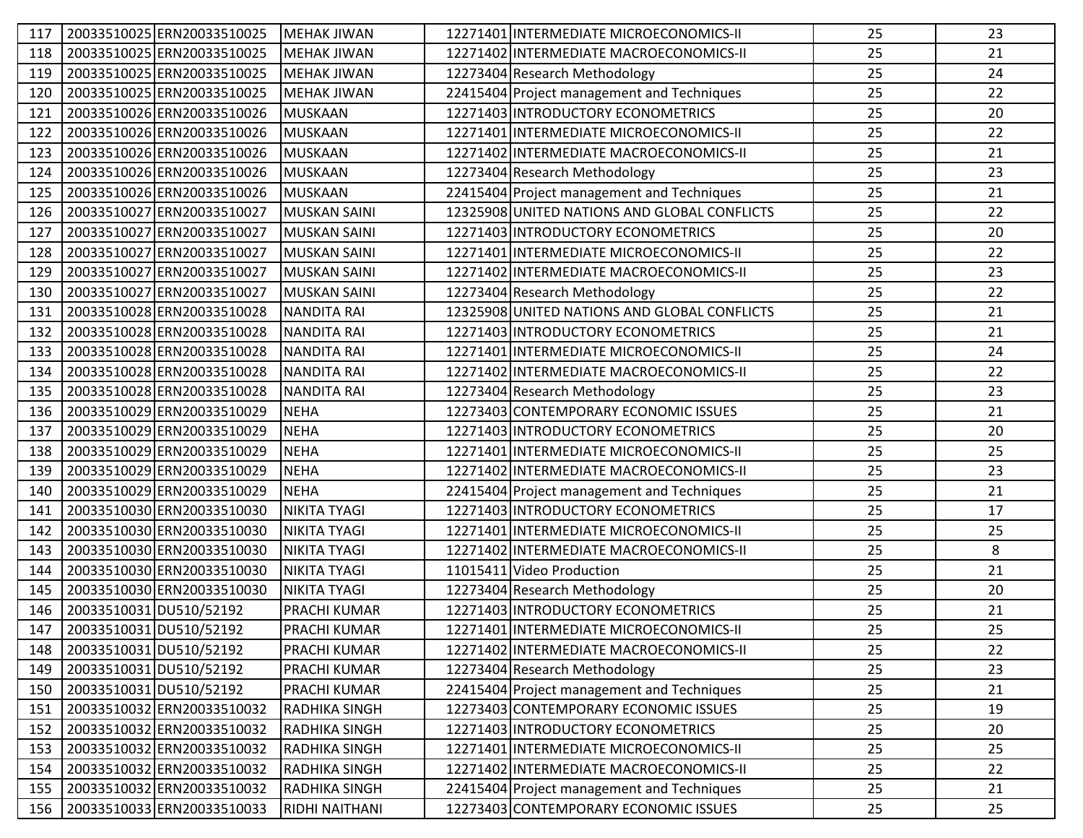| 117 | 20033510025 ERN20033510025 | MEHAK JIWAN           | 12271401 INTERMEDIATE MICROECONOMICS-II      | 25 | 23 |
|-----|----------------------------|-----------------------|----------------------------------------------|----|----|
| 118 | 20033510025 ERN20033510025 | MEHAK JIWAN           | 12271402 INTERMEDIATE MACROECONOMICS-II      | 25 | 21 |
| 119 | 20033510025 ERN20033510025 | IMEHAK JIWAN          | 12273404 Research Methodology                | 25 | 24 |
| 120 | 20033510025 ERN20033510025 | <b>MEHAK JIWAN</b>    | 22415404 Project management and Techniques   | 25 | 22 |
| 121 | 20033510026 ERN20033510026 | MUSKAAN               | 12271403 INTRODUCTORY ECONOMETRICS           | 25 | 20 |
| 122 | 20033510026 ERN20033510026 | MUSKAAN               | 12271401 INTERMEDIATE MICROECONOMICS-II      | 25 | 22 |
| 123 | 20033510026 ERN20033510026 | <b>MUSKAAN</b>        | 12271402 INTERMEDIATE MACROECONOMICS-II      | 25 | 21 |
| 124 | 20033510026 ERN20033510026 | MUSKAAN               | 12273404 Research Methodology                | 25 | 23 |
| 125 | 20033510026 ERN20033510026 | MUSKAAN               | 22415404 Project management and Techniques   | 25 | 21 |
| 126 | 20033510027 ERN20033510027 | MUSKAN SAINI          | 12325908 UNITED NATIONS AND GLOBAL CONFLICTS | 25 | 22 |
| 127 | 20033510027 ERN20033510027 | MUSKAN SAINI          | 12271403 INTRODUCTORY ECONOMETRICS           | 25 | 20 |
| 128 | 20033510027 ERN20033510027 | MUSKAN SAINI          | 12271401 INTERMEDIATE MICROECONOMICS-II      | 25 | 22 |
| 129 | 20033510027 ERN20033510027 | MUSKAN SAINI          | 12271402 INTERMEDIATE MACROECONOMICS-II      | 25 | 23 |
| 130 | 20033510027 ERN20033510027 | <b>MUSKAN SAINI</b>   | 12273404 Research Methodology                | 25 | 22 |
| 131 | 20033510028 ERN20033510028 | NANDITA RAI           | 12325908 UNITED NATIONS AND GLOBAL CONFLICTS | 25 | 21 |
| 132 | 20033510028 ERN20033510028 | NANDITA RAI           | 12271403 INTRODUCTORY ECONOMETRICS           | 25 | 21 |
| 133 | 20033510028 ERN20033510028 | <b>NANDITA RAI</b>    | 12271401 INTERMEDIATE MICROECONOMICS-II      | 25 | 24 |
| 134 | 20033510028 ERN20033510028 | <b>NANDITA RAI</b>    | 12271402 INTERMEDIATE MACROECONOMICS-II      | 25 | 22 |
| 135 | 20033510028 ERN20033510028 | <b>NANDITA RAI</b>    | 12273404 Research Methodology                | 25 | 23 |
| 136 | 20033510029 ERN20033510029 | <b>NEHA</b>           | 12273403 CONTEMPORARY ECONOMIC ISSUES        | 25 | 21 |
| 137 | 20033510029 ERN20033510029 | <b>NEHA</b>           | 12271403 INTRODUCTORY ECONOMETRICS           | 25 | 20 |
| 138 | 20033510029ERN20033510029  | <b>NEHA</b>           | 12271401 INTERMEDIATE MICROECONOMICS-II      | 25 | 25 |
| 139 | 20033510029 ERN20033510029 | <b>NEHA</b>           | 12271402 INTERMEDIATE MACROECONOMICS-II      | 25 | 23 |
| 140 | 20033510029 ERN20033510029 | <b>NEHA</b>           | 22415404 Project management and Techniques   | 25 | 21 |
| 141 | 20033510030 ERN20033510030 | NIKITA TYAGI          | 12271403 INTRODUCTORY ECONOMETRICS           | 25 | 17 |
| 142 | 20033510030 ERN20033510030 | NIKITA TYAGI          | 12271401 INTERMEDIATE MICROECONOMICS-II      | 25 | 25 |
| 143 | 20033510030 ERN20033510030 | NIKITA TYAGI          | 12271402 INTERMEDIATE MACROECONOMICS-II      | 25 | 8  |
| 144 | 20033510030 ERN20033510030 | NIKITA TYAGI          | 11015411 Video Production                    | 25 | 21 |
| 145 | 20033510030 ERN20033510030 | NIKITA TYAGI          | 12273404 Research Methodology                | 25 | 20 |
| 146 | 20033510031 DU510/52192    | <b>PRACHI KUMAR</b>   | 12271403 INTRODUCTORY ECONOMETRICS           | 25 | 21 |
| 147 | 20033510031 DU510/52192    | <b>PRACHI KUMAR</b>   | 12271401 INTERMEDIATE MICROECONOMICS-II      | 25 | 25 |
| 148 | 20033510031 DU510/52192    | PRACHI KUMAR          | 12271402 INTERMEDIATE MACROECONOMICS-II      | 25 | 22 |
| 149 | 20033510031 DU510/52192    | PRACHI KUMAR          | 12273404 Research Methodology                | 25 | 23 |
| 150 | 20033510031 DU510/52192    | PRACHI KUMAR          | 22415404 Project management and Techniques   | 25 | 21 |
| 151 | 20033510032 ERN20033510032 | <b>RADHIKA SINGH</b>  | 12273403 CONTEMPORARY ECONOMIC ISSUES        | 25 | 19 |
| 152 | 20033510032 ERN20033510032 | <b>RADHIKA SINGH</b>  | 12271403 INTRODUCTORY ECONOMETRICS           | 25 | 20 |
| 153 | 20033510032 ERN20033510032 | <b>RADHIKA SINGH</b>  | 12271401 INTERMEDIATE MICROECONOMICS-II      | 25 | 25 |
| 154 | 20033510032 ERN20033510032 | RADHIKA SINGH         | 12271402 INTERMEDIATE MACROECONOMICS-II      | 25 | 22 |
| 155 | 20033510032 ERN20033510032 | <b>RADHIKA SINGH</b>  | 22415404 Project management and Techniques   | 25 | 21 |
| 156 | 20033510033 ERN20033510033 | <b>RIDHI NAITHANI</b> | 12273403 CONTEMPORARY ECONOMIC ISSUES        | 25 | 25 |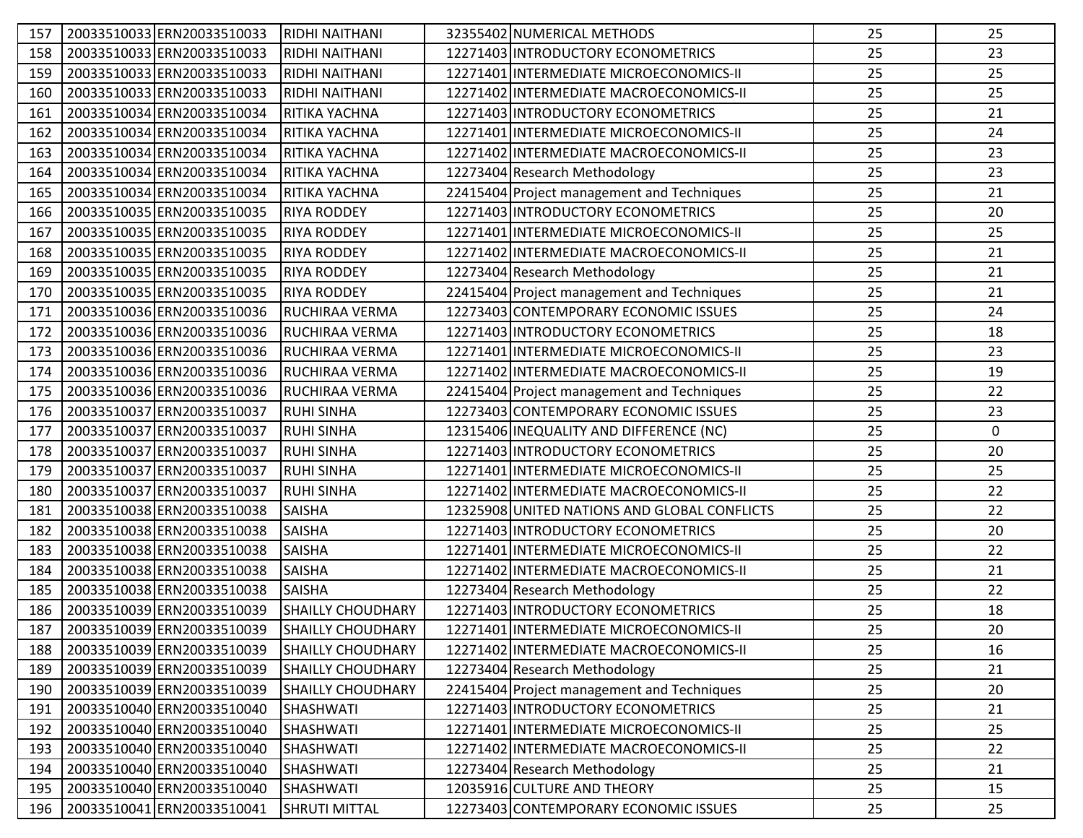| 157 | 20033510033 ERN20033510033 | <b>RIDHI NAITHANI</b>    | 32355402 NUMERICAL METHODS                   | 25 | 25          |
|-----|----------------------------|--------------------------|----------------------------------------------|----|-------------|
| 158 | 20033510033 ERN20033510033 | RIDHI NAITHANI           | 12271403 INTRODUCTORY ECONOMETRICS           | 25 | 23          |
| 159 | 20033510033 ERN20033510033 | RIDHI NAITHANI           | 12271401 INTERMEDIATE MICROECONOMICS-II      | 25 | 25          |
| 160 | 20033510033 ERN20033510033 | <b>RIDHI NAITHANI</b>    | 12271402 INTERMEDIATE MACROECONOMICS-II      | 25 | 25          |
| 161 | 20033510034 ERN20033510034 | RITIKA YACHNA            | 12271403 INTRODUCTORY ECONOMETRICS           | 25 | 21          |
| 162 | 20033510034 ERN20033510034 | RITIKA YACHNA            | 12271401 INTERMEDIATE MICROECONOMICS-II      | 25 | 24          |
| 163 | 20033510034 ERN20033510034 | RITIKA YACHNA            | 12271402 INTERMEDIATE MACROECONOMICS-II      | 25 | 23          |
| 164 | 20033510034 ERN20033510034 | RITIKA YACHNA            | 12273404 Research Methodology                | 25 | 23          |
| 165 | 20033510034 ERN20033510034 | RITIKA YACHNA            | 22415404 Project management and Techniques   | 25 | 21          |
| 166 | 20033510035 ERN20033510035 | <b>RIYA RODDEY</b>       | 12271403 INTRODUCTORY ECONOMETRICS           | 25 | 20          |
| 167 | 20033510035 ERN20033510035 | <b>RIYA RODDEY</b>       | 12271401 INTERMEDIATE MICROECONOMICS-II      | 25 | 25          |
| 168 | 20033510035 ERN20033510035 | <b>RIYA RODDEY</b>       | 12271402 INTERMEDIATE MACROECONOMICS-II      | 25 | 21          |
| 169 | 20033510035 ERN20033510035 | <b>RIYA RODDEY</b>       | 12273404 Research Methodology                | 25 | 21          |
| 170 | 20033510035 ERN20033510035 | <b>RIYA RODDEY</b>       | 22415404 Project management and Techniques   | 25 | 21          |
| 171 | 20033510036 ERN20033510036 | RUCHIRAA VERMA           | 12273403 CONTEMPORARY ECONOMIC ISSUES        | 25 | 24          |
| 172 | 20033510036 ERN20033510036 | RUCHIRAA VERMA           | 12271403 INTRODUCTORY ECONOMETRICS           | 25 | 18          |
| 173 | 20033510036 ERN20033510036 | <b>RUCHIRAA VERMA</b>    | 12271401 INTERMEDIATE MICROECONOMICS-II      | 25 | 23          |
| 174 | 20033510036ERN20033510036  | RUCHIRAA VERMA           | 12271402 INTERMEDIATE MACROECONOMICS-II      | 25 | 19          |
| 175 | 20033510036 ERN20033510036 | RUCHIRAA VERMA           | 22415404 Project management and Techniques   | 25 | 22          |
| 176 | 20033510037 ERN20033510037 | <b>RUHI SINHA</b>        | 12273403 CONTEMPORARY ECONOMIC ISSUES        | 25 | 23          |
| 177 | 20033510037 ERN20033510037 | <b>RUHI SINHA</b>        | 12315406 INEQUALITY AND DIFFERENCE (NC)      | 25 | $\mathbf 0$ |
| 178 | 20033510037 ERN20033510037 | <b>RUHI SINHA</b>        | 12271403 INTRODUCTORY ECONOMETRICS           | 25 | 20          |
| 179 | 20033510037 ERN20033510037 | <b>RUHI SINHA</b>        | 12271401 INTERMEDIATE MICROECONOMICS-II      | 25 | 25          |
| 180 | 20033510037 ERN20033510037 | <b>RUHI SINHA</b>        | 12271402 INTERMEDIATE MACROECONOMICS-II      | 25 | 22          |
| 181 | 20033510038 ERN20033510038 | <b>SAISHA</b>            | 12325908 UNITED NATIONS AND GLOBAL CONFLICTS | 25 | 22          |
| 182 | 20033510038 ERN20033510038 | <b>SAISHA</b>            | 12271403 INTRODUCTORY ECONOMETRICS           | 25 | 20          |
| 183 | 20033510038ERN20033510038  | <b>SAISHA</b>            | 12271401 INTERMEDIATE MICROECONOMICS-II      | 25 | 22          |
| 184 | 20033510038 ERN20033510038 | <b>SAISHA</b>            | 12271402 INTERMEDIATE MACROECONOMICS-II      | 25 | 21          |
| 185 | 20033510038 ERN20033510038 | <b>SAISHA</b>            | 12273404 Research Methodology                | 25 | 22          |
| 186 | 20033510039 ERN20033510039 | <b>SHAILLY CHOUDHARY</b> | 12271403 INTRODUCTORY ECONOMETRICS           | 25 | 18          |
| 187 | 20033510039 ERN20033510039 | <b>SHAILLY CHOUDHARY</b> | 12271401 INTERMEDIATE MICROECONOMICS-II      | 25 | 20          |
| 188 | 20033510039 ERN20033510039 | <b>SHAILLY CHOUDHARY</b> | 12271402 INTERMEDIATE MACROECONOMICS-II      | 25 | 16          |
| 189 | 20033510039 ERN20033510039 | <b>SHAILLY CHOUDHARY</b> | 12273404 Research Methodology                | 25 | 21          |
| 190 | 20033510039 ERN20033510039 | <b>SHAILLY CHOUDHARY</b> | 22415404 Project management and Techniques   | 25 | 20          |
| 191 | 20033510040 ERN20033510040 | SHASHWATI                | 12271403 INTRODUCTORY ECONOMETRICS           | 25 | 21          |
| 192 | 20033510040 ERN20033510040 | <b>SHASHWATI</b>         | 12271401 INTERMEDIATE MICROECONOMICS-II      | 25 | 25          |
| 193 | 20033510040 ERN20033510040 | SHASHWATI                | 12271402 INTERMEDIATE MACROECONOMICS-II      | 25 | 22          |
| 194 | 20033510040 ERN20033510040 | <b>SHASHWATI</b>         | 12273404 Research Methodology                | 25 | 21          |
| 195 | 20033510040 ERN20033510040 | SHASHWATI                | 12035916 CULTURE AND THEORY                  | 25 | 15          |
| 196 | 20033510041 ERN20033510041 | <b>SHRUTI MITTAL</b>     | 12273403 CONTEMPORARY ECONOMIC ISSUES        | 25 | 25          |